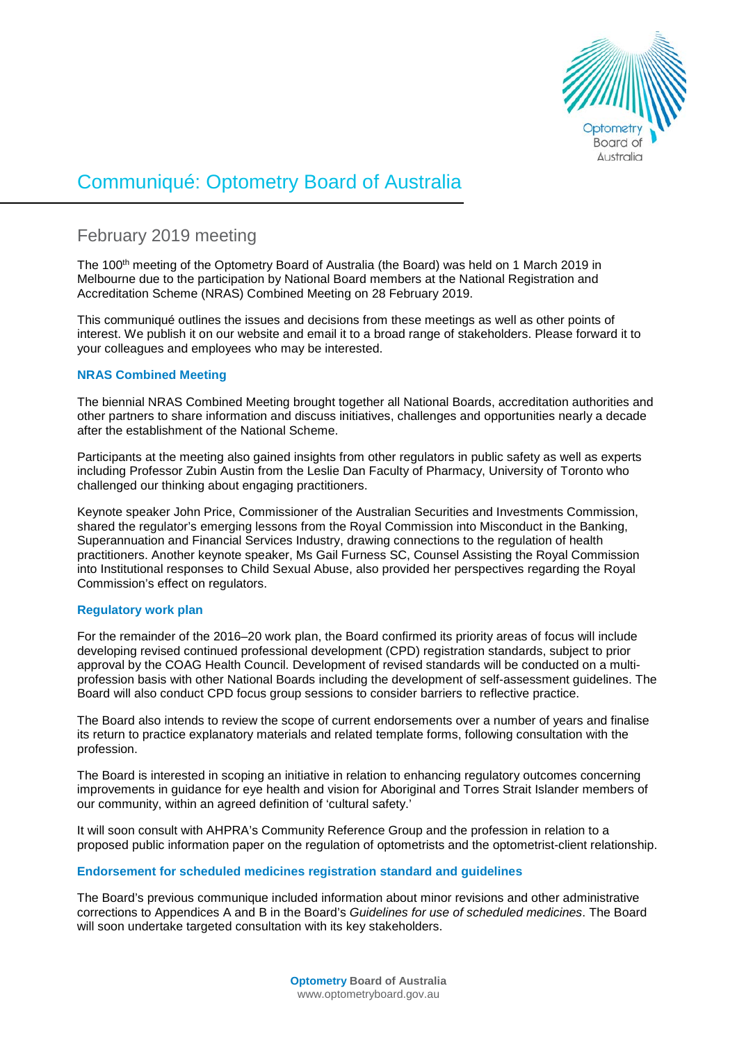

# Communiqué: Optometry Board of Australia

# February 2019 meeting

The 100<sup>th</sup> meeting of the Optometry Board of Australia (the Board) was held on 1 March 2019 in Melbourne due to the participation by National Board members at the National Registration and Accreditation Scheme (NRAS) Combined Meeting on 28 February 2019.

This communiqué outlines the issues and decisions from these meetings as well as other points of interest. We publish it on our website and email it to a broad range of stakeholders. Please forward it to your colleagues and employees who may be interested.

# **NRAS Combined Meeting**

The biennial NRAS Combined Meeting brought together all National Boards, accreditation authorities and other partners to share information and discuss initiatives, challenges and opportunities nearly a decade after the establishment of the National Scheme.

Participants at the meeting also gained insights from other regulators in public safety as well as experts including Professor Zubin Austin from the Leslie Dan Faculty of Pharmacy, University of Toronto who challenged our thinking about engaging practitioners.

Keynote speaker John Price, Commissioner of the Australian Securities and Investments Commission, shared the regulator's emerging lessons from the Royal Commission into Misconduct in the Banking, Superannuation and Financial Services Industry, drawing connections to the regulation of health practitioners. Another keynote speaker, Ms Gail Furness SC, Counsel Assisting the Royal Commission into Institutional responses to Child Sexual Abuse, also provided her perspectives regarding the Royal Commission's effect on regulators.

# **Regulatory work plan**

For the remainder of the 2016–20 work plan, the Board confirmed its priority areas of focus will include developing revised continued professional development (CPD) registration standards, subject to prior approval by the COAG Health Council. Development of revised standards will be conducted on a multiprofession basis with other National Boards including the development of self-assessment guidelines. The Board will also conduct CPD focus group sessions to consider barriers to reflective practice.

The Board also intends to review the scope of current endorsements over a number of years and finalise its return to practice explanatory materials and related template forms, following consultation with the profession.

The Board is interested in scoping an initiative in relation to enhancing regulatory outcomes concerning improvements in guidance for eye health and vision for Aboriginal and Torres Strait Islander members of our community, within an agreed definition of 'cultural safety.'

It will soon consult with AHPRA's Community Reference Group and the profession in relation to a proposed public information paper on the regulation of optometrists and the optometrist-client relationship.

# **Endorsement for scheduled medicines registration standard and guidelines**

The Board's previous communique included information about minor revisions and other administrative corrections to Appendices A and B in the Board's *Guidelines for use of scheduled medicines*. The Board will soon undertake targeted consultation with its key stakeholders.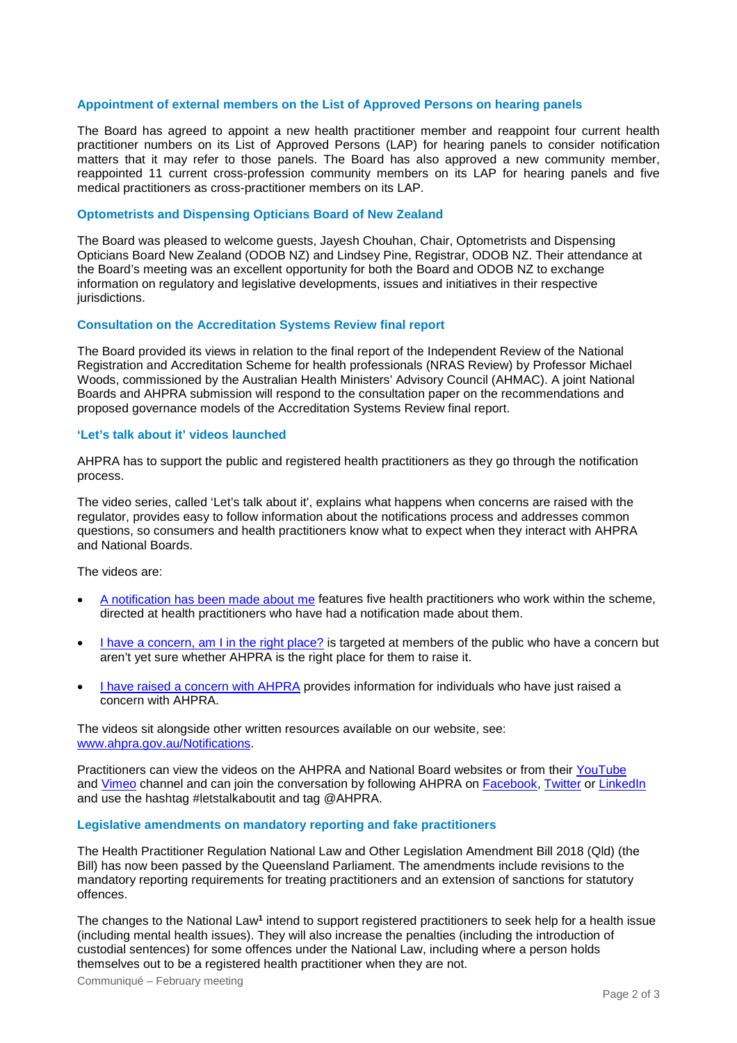#### **Appointment of external members on the List of Approved Persons on hearing panels**

The Board has agreed to appoint a new health practitioner member and reappoint four current health practitioner numbers on its List of Approved Persons (LAP) for hearing panels to consider notification matters that it may refer to those panels. The Board has also approved a new community member, reappointed 11 current cross-profession community members on its LAP for hearing panels and five medical practitioners as cross-practitioner members on its LAP.

#### **Optometrists and Dispensing Opticians Board of New Zealand**

The Board was pleased to welcome guests, Jayesh Chouhan, Chair, Optometrists and Dispensing Opticians Board New Zealand (ODOB NZ) and Lindsey Pine, Registrar, ODOB NZ. Their attendance at the Board's meeting was an excellent opportunity for both the Board and ODOB NZ to exchange information on regulatory and legislative developments, issues and initiatives in their respective jurisdictions.

#### **Consultation on the Accreditation Systems Review final report**

The Board provided its views in relation to the final report of the Independent Review of the National Registration and Accreditation Scheme for health professionals (NRAS Review) by Professor Michael Woods, commissioned by the Australian Health Ministers' Advisory Council (AHMAC). A joint National Boards and AHPRA submission will respond to the consultation paper on the recommendations and proposed governance models of the Accreditation Systems Review final report.

#### **'Let's talk about it' videos launched**

AHPRA has to support the public and registered health practitioners as they go through the notification process.

The video series, called 'Let's talk about it', explains what happens when concerns are raised with the regulator, provides easy to follow information about the notifications process and addresses common questions, so consumers and health practitioners know what to expect when they interact with AHPRA and National Boards.

The videos are:

- [A notification has been made about me](https://youtu.be/4TlZIVh9VX8) features five health practitioners who work within the scheme, directed at health practitioners who have had a notification made about them.
- [I have a concern, am I in the right place?](https://youtu.be/be_czXf78b4) is targeted at members of the public who have a concern but aren't yet sure whether AHPRA is the right place for them to raise it.
- [I have raised a concern with AHPRA](https://youtu.be/Uh36Y7tYHYY) provides information for individuals who have just raised a concern with AHPRA.

The videos sit alongside other written resources available on our website, see: [www.ahpra.gov.au/Notifications.](http://www.ahpra.gov.au/Notifications)

Practitioners can view the videos on the AHPRA and National Board websites or from their [YouTube](https://www.youtube.com/watch?v=Uh36Y7tYHYY&list=PLsOlxvZTyF7P0OK2nFQc4gwNldqSqMWje) and [Vimeo](https://vimeo.com/ahpra) channel and can join the conversation by following AHPRA on [Facebook,](https://www.facebook.com/ahpra.gov.au/) [Twitter](https://twitter.com/AHPRA) or [LinkedIn](https://www.linkedin.com/company/australian-health-practitioner-regulation-agency) and use the hashtag #letstalkaboutit and tag @AHPRA.

#### **Legislative amendments on mandatory reporting and fake practitioners**

The Health Practitioner Regulation National Law and Other Legislation Amendment Bill 2018 (Qld) (the Bill) has now been passed by the Queensland Parliament. The amendments include revisions to the mandatory reporting requirements for treating practitioners and an extension of sanctions for statutory offences.

The changes to the National Law**<sup>1</sup>** intend to support registered practitioners to seek help for a health issue (including mental health issues). They will also increase the penalties (including the introduction of custodial sentences) for some offences under the National Law, including where a person holds themselves out to be a registered health practitioner when they are not.